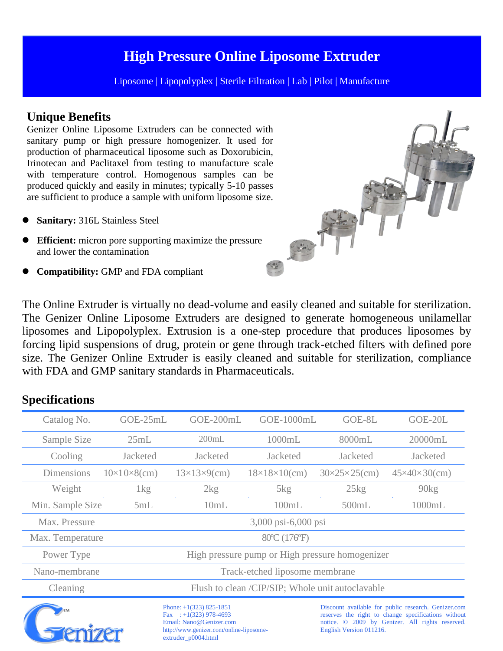## **High Pressure Online Liposome Extruder**

Liposome | Lipopolyplex | Sterile Filtration | Lab | Pilot | Manufacture

### **Unique Benefits**

Genizer Online Liposome Extruders can be connected with sanitary pump or high pressure homogenizer. It used for production of pharmaceutical liposome such as Doxorubicin, Irinotecan and Paclitaxel from testing to manufacture scale with temperature control. Homogenous samples can be produced quickly and easily in minutes; typically 5-10 passes are sufficient to produce a sample with uniform liposome size.

- **Sanitary:** 316L Stainless Steel
- **Efficient:** micron pore supporting maximize the pressure and lower the contamination
- **Compatibility:** GMP and FDA compliant

The Online Extruder is virtually no dead-volume and easily cleaned and suitable for sterilization. The Genizer Online Liposome Extruders are designed to generate homogeneous unilamellar liposomes and Lipopolyplex. Extrusion is a one-step procedure that produces liposomes by forcing lipid suspensions of drug, protein or gene through track-etched filters with defined pore size. The Genizer Online Extruder is easily cleaned and suitable for sterilization, compliance with FDA and GMP sanitary standards in Pharmaceuticals.

#### **Specifications**

| Catalog No.       | GOE-25mL                                         | GOE-200mL                 | GOE-1000mL                | GOE-8L                        | GOE-20L                                                                                                                 |
|-------------------|--------------------------------------------------|---------------------------|---------------------------|-------------------------------|-------------------------------------------------------------------------------------------------------------------------|
| Sample Size       | 25mL                                             | 200mL                     | 1000mL                    | 8000mL                        | 20000mL                                                                                                                 |
| Cooling           | Jacketed                                         | <b>Jacketed</b>           | Jacketed                  | Jacketed                      | Jacketed                                                                                                                |
| <b>Dimensions</b> | $10\times10\times8$ (cm)                         | $13\times13\times9$ (cm)  | $18\times18\times10$ (cm) | $30 \times 25 \times 25$ (cm) | $45 \times 40 \times 30$ (cm)                                                                                           |
| Weight            | $1\text{kg}$                                     | 2kg                       | $5\text{kg}$              | $25\text{kg}$                 | 90kg                                                                                                                    |
| Min. Sample Size  | 5mL                                              | 10mL                      | 100mL                     | 500mL                         | 1000mL                                                                                                                  |
| Max. Pressure     | 3,000 psi-6,000 psi                              |                           |                           |                               |                                                                                                                         |
| Max. Temperature  | 80 ° (176 °F)                                    |                           |                           |                               |                                                                                                                         |
| Power Type        | High pressure pump or High pressure homogenizer  |                           |                           |                               |                                                                                                                         |
| Nano-membrane     | Track-etched liposome membrane                   |                           |                           |                               |                                                                                                                         |
| Cleaning          | Flush to clean /CIP/SIP; Whole unit autoclavable |                           |                           |                               |                                                                                                                         |
|                   |                                                  | Phone: $+1(323)$ 825-1851 |                           |                               | Discount available for public research. Genizer.com<br>그는 아이에 대한 사람들은 아이들이 아이들이 없었다. 이 사람들은 아이들이 아니라 아이들이 아니라 아이들이 없었다. |



 $: +1(323)$  978-4693 Email: [Nano@Genizer.com](mailto:Nano@Genizer.com) [http://www.genizer.com/online-liposome](http://www.genizer.com/online-liposome-)extruder\_p0004.html

Discount available for public research. Genizer.com reserves the right to change specifications without notice. © 2009 by Genizer. All rights reserved. English Version 011216.